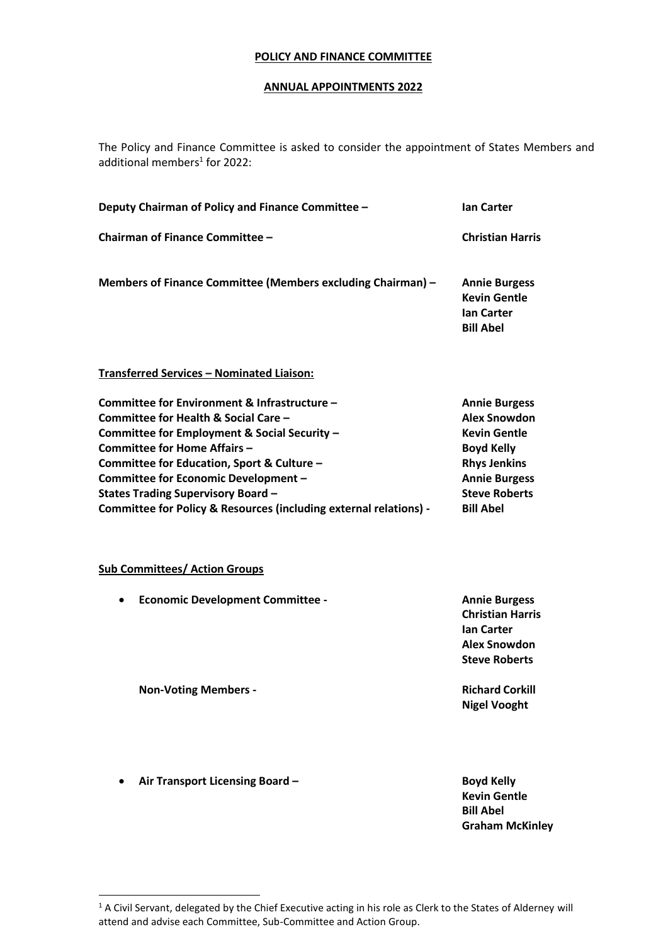## **POLICY AND FINANCE COMMITTEE**

## **ANNUAL APPOINTMENTS 2022**

The Policy and Finance Committee is asked to consider the appointment of States Members and additional members<sup>1</sup> for 2022:

| Deputy Chairman of Policy and Finance Committee -                                                                                                                                                                                                                                                                                                                                   | <b>Ian Carter</b>                                                                                                                                                                  |
|-------------------------------------------------------------------------------------------------------------------------------------------------------------------------------------------------------------------------------------------------------------------------------------------------------------------------------------------------------------------------------------|------------------------------------------------------------------------------------------------------------------------------------------------------------------------------------|
| Chairman of Finance Committee -                                                                                                                                                                                                                                                                                                                                                     | <b>Christian Harris</b>                                                                                                                                                            |
| Members of Finance Committee (Members excluding Chairman) -                                                                                                                                                                                                                                                                                                                         | <b>Annie Burgess</b><br><b>Kevin Gentle</b><br><b>Ian Carter</b><br><b>Bill Abel</b>                                                                                               |
| Transferred Services - Nominated Liaison:                                                                                                                                                                                                                                                                                                                                           |                                                                                                                                                                                    |
| Committee for Environment & Infrastructure -<br>Committee for Health & Social Care -<br>Committee for Employment & Social Security -<br><b>Committee for Home Affairs -</b><br>Committee for Education, Sport & Culture -<br>Committee for Economic Development -<br><b>States Trading Supervisory Board -</b><br>Committee for Policy & Resources (including external relations) - | <b>Annie Burgess</b><br><b>Alex Snowdon</b><br><b>Kevin Gentle</b><br><b>Boyd Kelly</b><br><b>Rhys Jenkins</b><br><b>Annie Burgess</b><br><b>Steve Roberts</b><br><b>Bill Abel</b> |
| <b>Sub Committees/ Action Groups</b>                                                                                                                                                                                                                                                                                                                                                |                                                                                                                                                                                    |
| <b>Economic Development Committee -</b>                                                                                                                                                                                                                                                                                                                                             | <b>Annie Burgess</b><br><b>Christian Harris</b><br><b>Ian Carter</b><br><b>Alex Snowdon</b><br><b>Steve Roberts</b>                                                                |
| <b>Non-Voting Members -</b>                                                                                                                                                                                                                                                                                                                                                         | <b>Richard Corkill</b><br><b>Nigel Vooght</b>                                                                                                                                      |
| Air Transport Licensing Board -                                                                                                                                                                                                                                                                                                                                                     | <b>Boyd Kelly</b><br><b>Kevin Gentle</b><br><b>Bill Abel</b><br><b>Graham McKinley</b>                                                                                             |

<sup>&</sup>lt;sup>1</sup> A Civil Servant, delegated by the Chief Executive acting in his role as Clerk to the States of Alderney will attend and advise each Committee, Sub-Committee and Action Group.